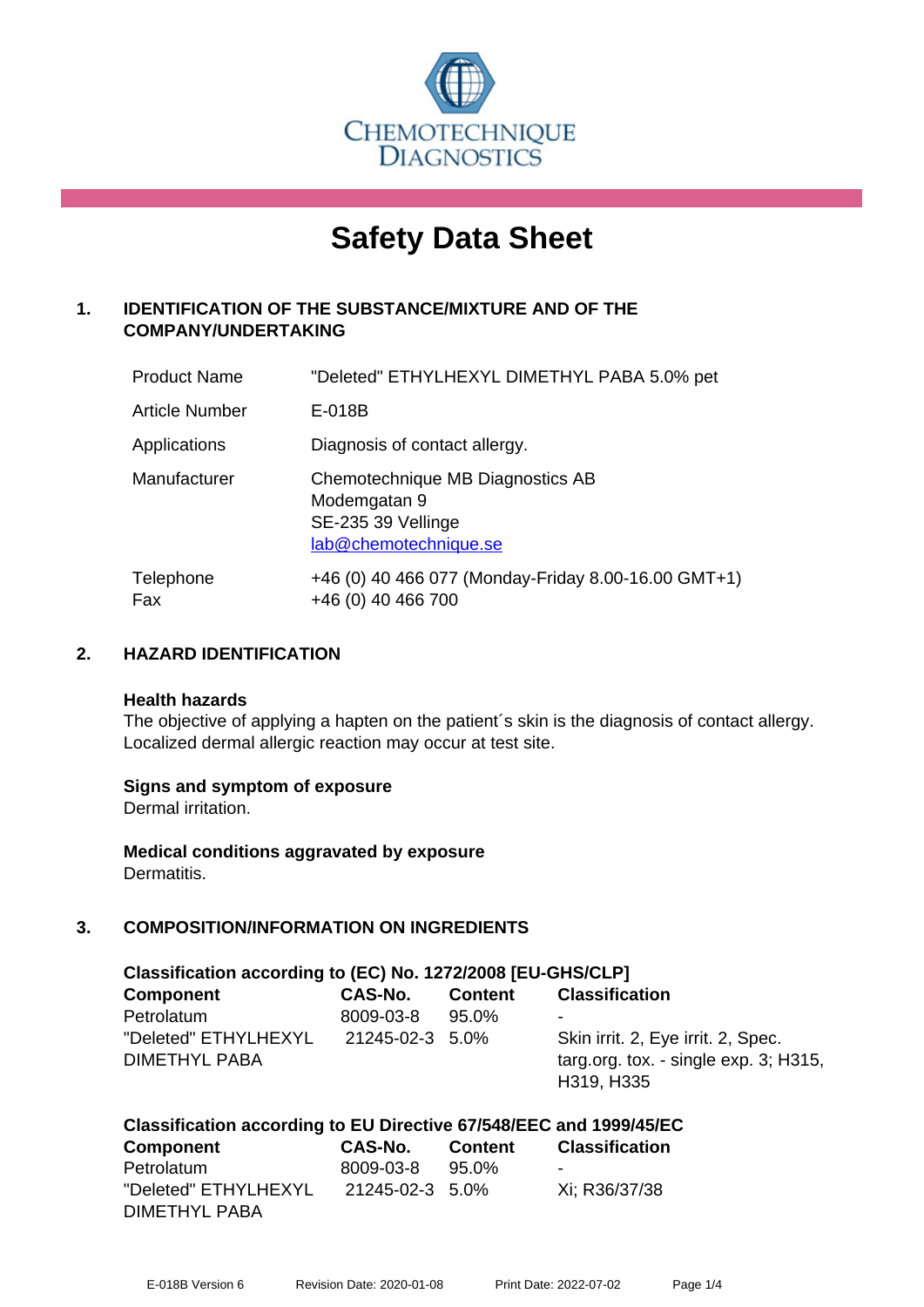

# **Safety Data Sheet**

# **1. IDENTIFICATION OF THE SUBSTANCE/MIXTURE AND OF THE COMPANY/UNDERTAKING**

| <b>Product Name</b>   | "Deleted" ETHYLHEXYL DIMETHYL PABA 5.0% pet                                                     |
|-----------------------|-------------------------------------------------------------------------------------------------|
| <b>Article Number</b> | E-018B                                                                                          |
| Applications          | Diagnosis of contact allergy.                                                                   |
| Manufacturer          | Chemotechnique MB Diagnostics AB<br>Modemgatan 9<br>SE-235 39 Vellinge<br>lab@chemotechnique.se |
| Telephone<br>Fax      | +46 (0) 40 466 077 (Monday-Friday 8.00-16.00 GMT+1)<br>+46 (0) 40 466 700                       |

#### **2. HAZARD IDENTIFICATION**

#### **Health hazards**

The objective of applying a hapten on the patient's skin is the diagnosis of contact allergy. Localized dermal allergic reaction may occur at test site.

#### **Signs and symptom of exposure**

Dermal irritation.

**Medical conditions aggravated by exposure** Dermatitis.

#### **3. COMPOSITION/INFORMATION ON INGREDIENTS**

| Classification according to (EC) No. 1272/2008 [EU-GHS/CLP] |                 |                |                                                                                              |  |
|-------------------------------------------------------------|-----------------|----------------|----------------------------------------------------------------------------------------------|--|
| <b>Component</b>                                            | CAS-No.         | <b>Content</b> | <b>Classification</b>                                                                        |  |
| Petrolatum                                                  | 8009-03-8       | $95.0\%$       | $\overline{\phantom{a}}$                                                                     |  |
| "Deleted" ETHYLHEXYL<br><b>DIMETHYL PABA</b>                | 21245-02-3 5.0% |                | Skin irrit. 2, Eye irrit. 2, Spec.<br>targ.org. tox. - single $exp. 3$ ; H315,<br>H319, H335 |  |

# **Classification according to EU Directive 67/548/EEC and 1999/45/EC**

| <b>Component</b>     | CAS-No.         | <b>Content</b> | <b>Classification</b> |
|----------------------|-----------------|----------------|-----------------------|
| Petrolatum           | 8009-03-8       | 95.0%          | -                     |
| "Deleted" ETHYLHEXYL | 21245-02-3 5.0% |                | Xi: R36/37/38         |
| DIMETHYL PABA        |                 |                |                       |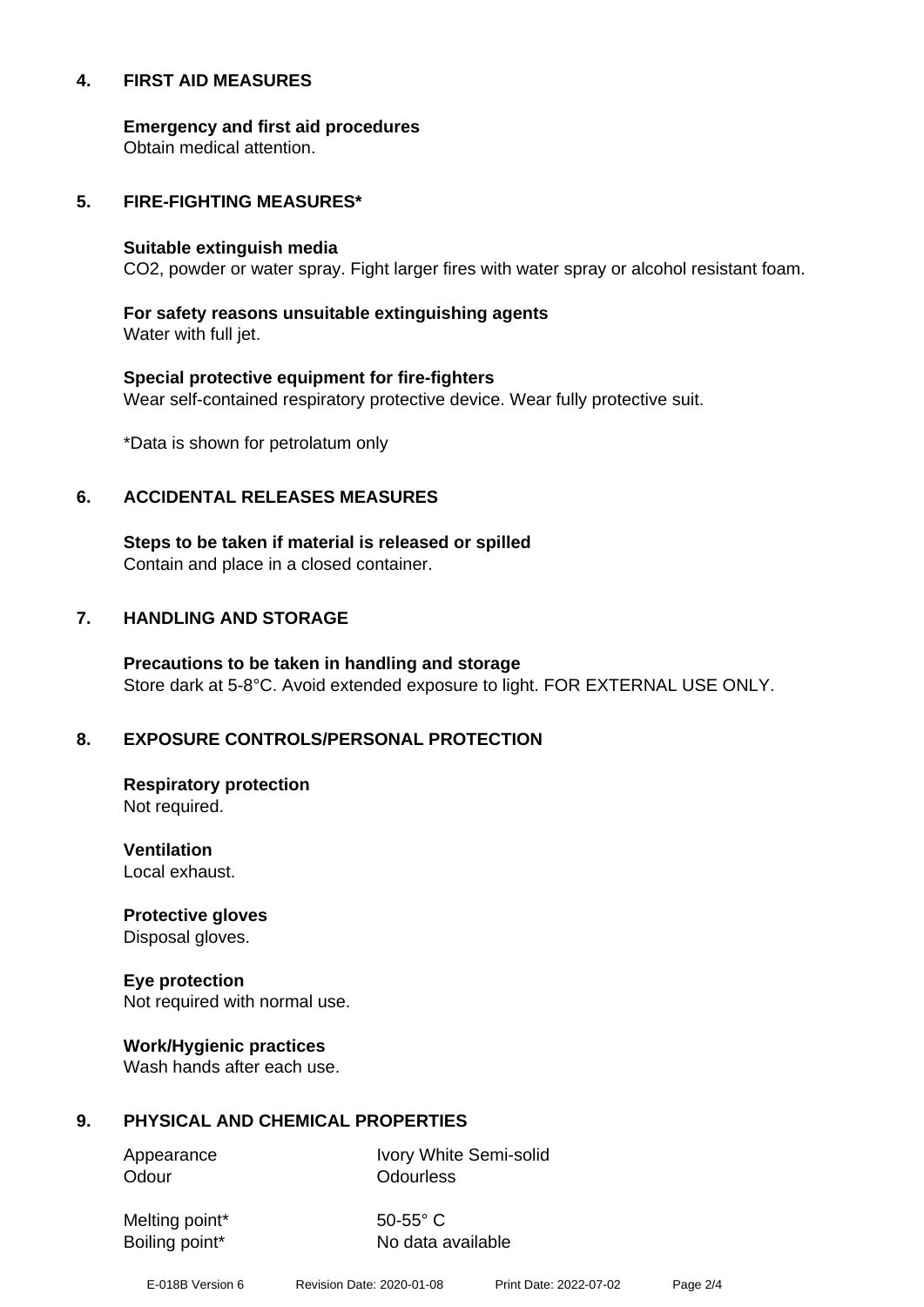#### **4. FIRST AID MEASURES**

**Emergency and first aid procedures**

Obtain medical attention.

#### **5. FIRE-FIGHTING MEASURES\***

#### **Suitable extinguish media**

CO2, powder or water spray. Fight larger fires with water spray or alcohol resistant foam.

# **For safety reasons unsuitable extinguishing agents**

Water with full jet.

# **Special protective equipment for fire-fighters** Wear self-contained respiratory protective device. Wear fully protective suit.

\*Data is shown for petrolatum only

#### **6. ACCIDENTAL RELEASES MEASURES**

**Steps to be taken if material is released or spilled** Contain and place in a closed container.

# **7. HANDLING AND STORAGE**

**Precautions to be taken in handling and storage** Store dark at 5-8°C. Avoid extended exposure to light. FOR EXTERNAL USE ONLY.

# **8. EXPOSURE CONTROLS/PERSONAL PROTECTION**

**Respiratory protection** Not required.

**Ventilation** Local exhaust.

**Protective gloves** Disposal gloves.

# **Eye protection**

Not required with normal use.

#### **Work/Hygienic practices**

Wash hands after each use.

#### **9. PHYSICAL AND CHEMICAL PROPERTIES**

Odour **Odourless** 

Appearance Ivory White Semi-solid

Melting point\* 50-55° C

Boiling point\* No data available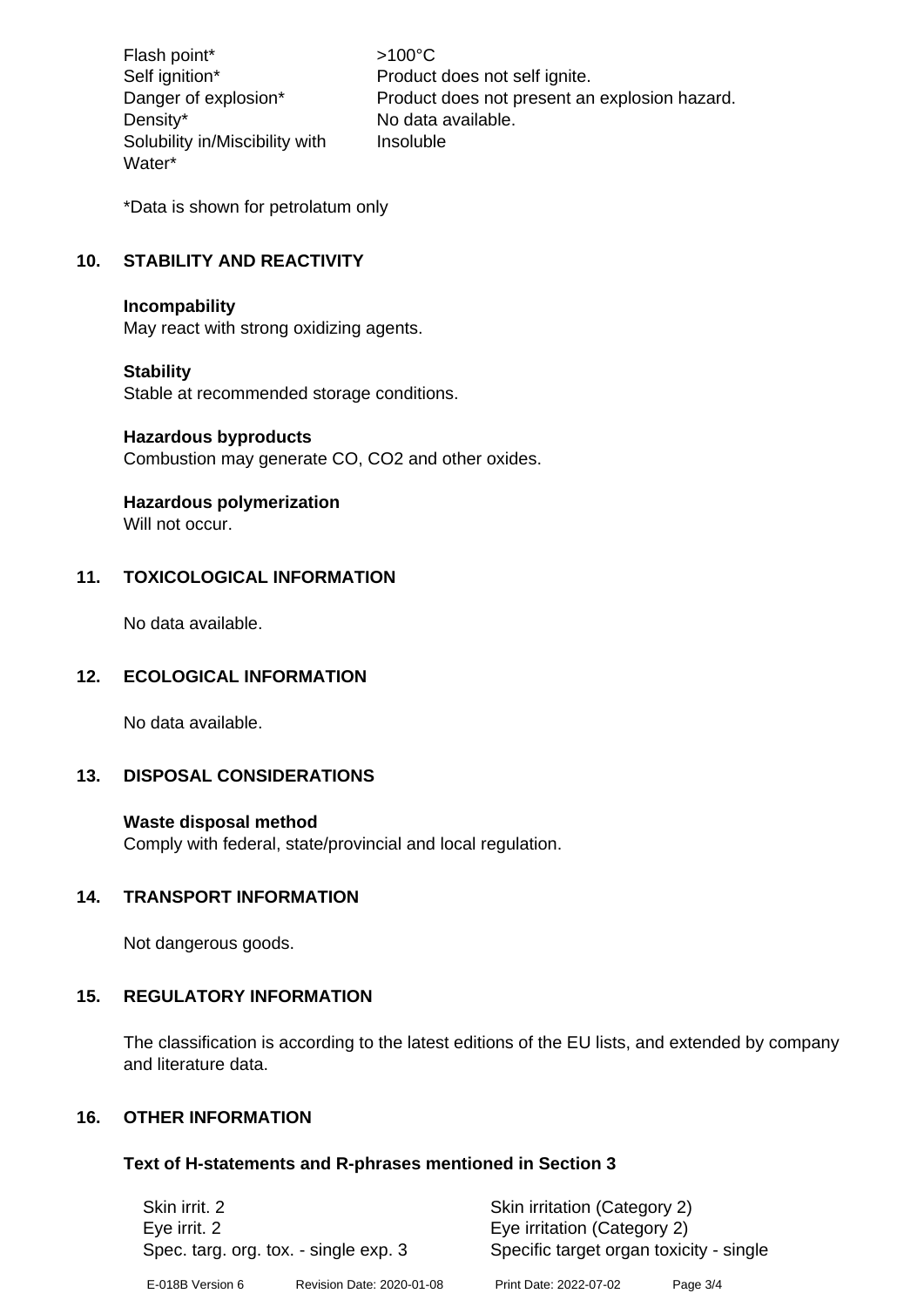Flash point\*  $>100^{\circ}$ C Density\* No data available. Solubility in/Miscibility with Water\*

Self ignition\* Product does not self ignite. Danger of explosion\* Product does not present an explosion hazard. Insoluble

\*Data is shown for petrolatum only

# **10. STABILITY AND REACTIVITY**

#### **Incompability**

May react with strong oxidizing agents.

#### **Stability**

Stable at recommended storage conditions.

#### **Hazardous byproducts**

Combustion may generate CO, CO2 and other oxides.

#### **Hazardous polymerization**

Will not occur.

#### **11. TOXICOLOGICAL INFORMATION**

No data available.

#### **12. ECOLOGICAL INFORMATION**

No data available.

# **13. DISPOSAL CONSIDERATIONS**

#### **Waste disposal method**

Comply with federal, state/provincial and local regulation.

#### **14. TRANSPORT INFORMATION**

Not dangerous goods.

#### **15. REGULATORY INFORMATION**

The classification is according to the latest editions of the EU lists, and extended by company and literature data.

#### **16. OTHER INFORMATION**

#### **Text of H-statements and R-phrases mentioned in Section 3**

| Skin irrit, 2<br>Eye irrit. 2 | Spec. targ. org. tox. - single exp. 3 | Skin irritation (Category 2)<br>Eye irritation (Category 2)<br>Specific target organ toxicity - single |            |
|-------------------------------|---------------------------------------|--------------------------------------------------------------------------------------------------------|------------|
| E-018B Version 6              | Revision Date: 2020-01-08             | Print Date: 2022-07-02                                                                                 | Page $3/4$ |